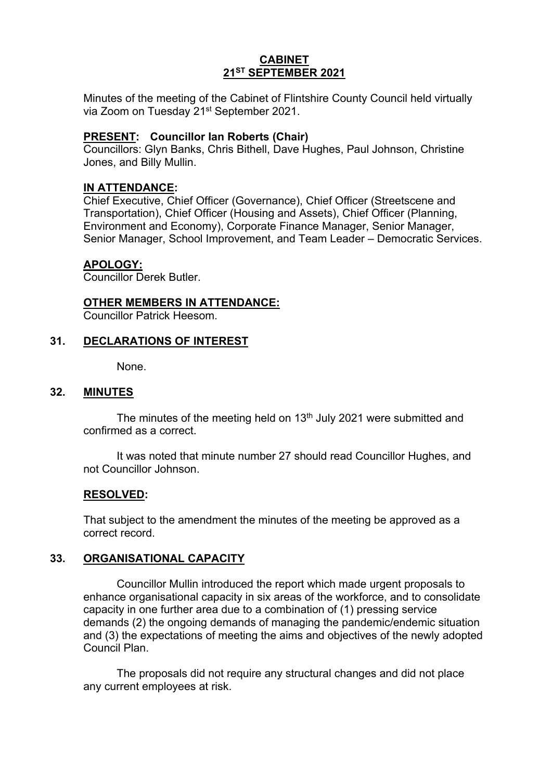## **CABINET 21ST SEPTEMBER 2021**

Minutes of the meeting of the Cabinet of Flintshire County Council held virtually via Zoom on Tuesday 21st September 2021.

### **PRESENT: Councillor Ian Roberts (Chair)**

Councillors: Glyn Banks, Chris Bithell, Dave Hughes, Paul Johnson, Christine Jones, and Billy Mullin.

### **IN ATTENDANCE:**

Chief Executive, Chief Officer (Governance), Chief Officer (Streetscene and Transportation), Chief Officer (Housing and Assets), Chief Officer (Planning, Environment and Economy), Corporate Finance Manager, Senior Manager, Senior Manager, School Improvement, and Team Leader – Democratic Services.

#### **APOLOGY:**

Councillor Derek Butler.

#### **OTHER MEMBERS IN ATTENDANCE:**

Councillor Patrick Heesom.

#### **31. DECLARATIONS OF INTEREST**

None.

#### **32. MINUTES**

The minutes of the meeting held on 13<sup>th</sup> July 2021 were submitted and confirmed as a correct.

It was noted that minute number 27 should read Councillor Hughes, and not Councillor Johnson.

#### **RESOLVED:**

That subject to the amendment the minutes of the meeting be approved as a correct record.

## **33. ORGANISATIONAL CAPACITY**

Councillor Mullin introduced the report which made urgent proposals to enhance organisational capacity in six areas of the workforce, and to consolidate capacity in one further area due to a combination of (1) pressing service demands (2) the ongoing demands of managing the pandemic/endemic situation and (3) the expectations of meeting the aims and objectives of the newly adopted Council Plan.

The proposals did not require any structural changes and did not place any current employees at risk.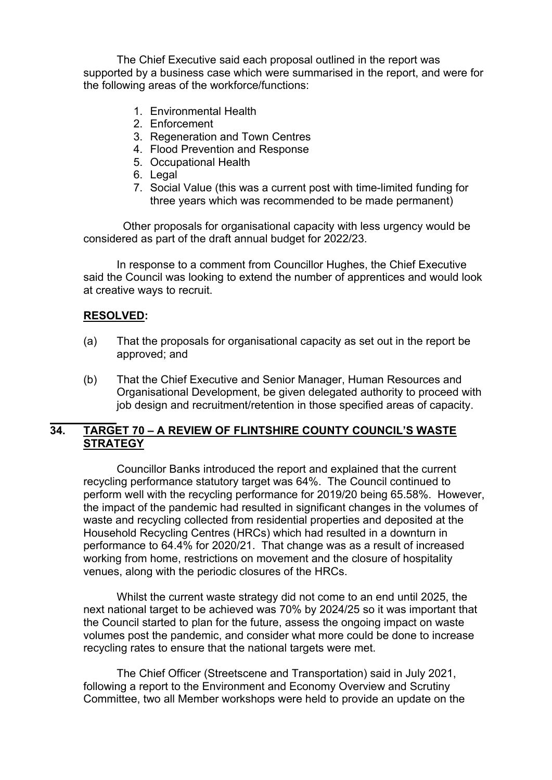The Chief Executive said each proposal outlined in the report was supported by a business case which were summarised in the report, and were for the following areas of the workforce/functions:

- 1. Environmental Health
- 2. Enforcement
- 3. Regeneration and Town Centres
- 4. Flood Prevention and Response
- 5. Occupational Health
- 6. Legal
- 7. Social Value (this was a current post with time-limited funding for three years which was recommended to be made permanent)

 Other proposals for organisational capacity with less urgency would be considered as part of the draft annual budget for 2022/23.

In response to a comment from Councillor Hughes, the Chief Executive said the Council was looking to extend the number of apprentices and would look at creative ways to recruit.

#### **RESOLVED:**

- (a) That the proposals for organisational capacity as set out in the report be approved; and
- (b) That the Chief Executive and Senior Manager, Human Resources and Organisational Development, be given delegated authority to proceed with job design and recruitment/retention in those specified areas of capacity.

## **34. TARGET 70 – A REVIEW OF FLINTSHIRE COUNTY COUNCIL'S WASTE STRATEGY**

Councillor Banks introduced the report and explained that the current recycling performance statutory target was 64%. The Council continued to perform well with the recycling performance for 2019/20 being 65.58%. However, the impact of the pandemic had resulted in significant changes in the volumes of waste and recycling collected from residential properties and deposited at the Household Recycling Centres (HRCs) which had resulted in a downturn in performance to 64.4% for 2020/21. That change was as a result of increased working from home, restrictions on movement and the closure of hospitality venues, along with the periodic closures of the HRCs.

Whilst the current waste strategy did not come to an end until 2025, the next national target to be achieved was 70% by 2024/25 so it was important that the Council started to plan for the future, assess the ongoing impact on waste volumes post the pandemic, and consider what more could be done to increase recycling rates to ensure that the national targets were met.

The Chief Officer (Streetscene and Transportation) said in July 2021, following a report to the Environment and Economy Overview and Scrutiny Committee, two all Member workshops were held to provide an update on the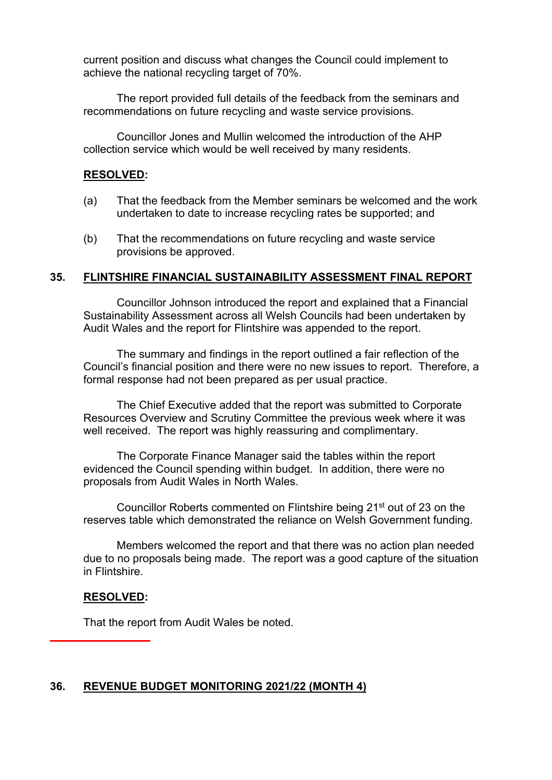current position and discuss what changes the Council could implement to achieve the national recycling target of 70%.

The report provided full details of the feedback from the seminars and recommendations on future recycling and waste service provisions.

Councillor Jones and Mullin welcomed the introduction of the AHP collection service which would be well received by many residents.

#### **RESOLVED:**

- (a) That the feedback from the Member seminars be welcomed and the work undertaken to date to increase recycling rates be supported; and
- (b) That the recommendations on future recycling and waste service provisions be approved.

#### **35. FLINTSHIRE FINANCIAL SUSTAINABILITY ASSESSMENT FINAL REPORT**

Councillor Johnson introduced the report and explained that a Financial Sustainability Assessment across all Welsh Councils had been undertaken by Audit Wales and the report for Flintshire was appended to the report.

The summary and findings in the report outlined a fair reflection of the Council's financial position and there were no new issues to report. Therefore, a formal response had not been prepared as per usual practice.

The Chief Executive added that the report was submitted to Corporate Resources Overview and Scrutiny Committee the previous week where it was well received. The report was highly reassuring and complimentary.

The Corporate Finance Manager said the tables within the report evidenced the Council spending within budget. In addition, there were no proposals from Audit Wales in North Wales.

Councillor Roberts commented on Flintshire being 21<sup>st</sup> out of 23 on the reserves table which demonstrated the reliance on Welsh Government funding.

Members welcomed the report and that there was no action plan needed due to no proposals being made. The report was a good capture of the situation in Flintshire.

#### **RESOLVED:**

That the report from Audit Wales be noted.

## **36. REVENUE BUDGET MONITORING 2021/22 (MONTH 4)**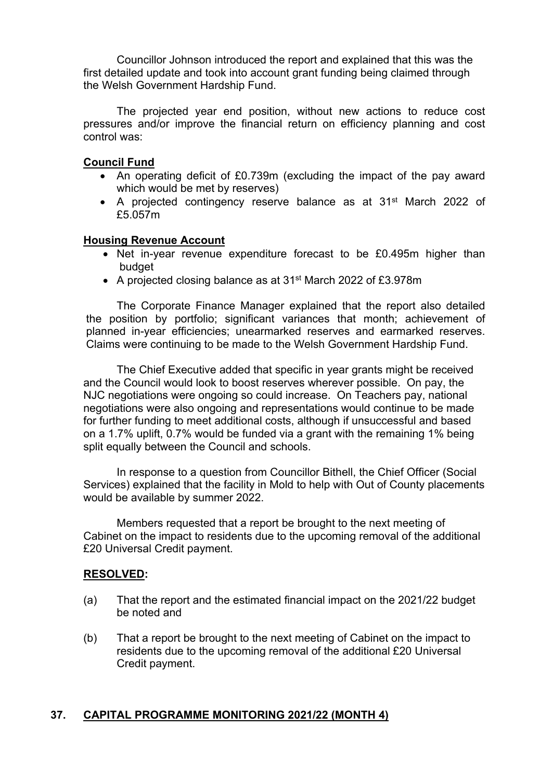Councillor Johnson introduced the report and explained that this was the first detailed update and took into account grant funding being claimed through the Welsh Government Hardship Fund.

The projected year end position, without new actions to reduce cost pressures and/or improve the financial return on efficiency planning and cost control was:

### **Council Fund**

- An operating deficit of £0.739m (excluding the impact of the pay award which would be met by reserves)
- A projected contingency reserve balance as at 31<sup>st</sup> March 2022 of £5.057m

#### **Housing Revenue Account**

- Net in-year revenue expenditure forecast to be £0.495m higher than budget
- A projected closing balance as at 31<sup>st</sup> March 2022 of £3.978m

The Corporate Finance Manager explained that the report also detailed the position by portfolio; significant variances that month; achievement of planned in-year efficiencies; unearmarked reserves and earmarked reserves. Claims were continuing to be made to the Welsh Government Hardship Fund.

The Chief Executive added that specific in year grants might be received and the Council would look to boost reserves wherever possible. On pay, the NJC negotiations were ongoing so could increase. On Teachers pay, national negotiations were also ongoing and representations would continue to be made for further funding to meet additional costs, although if unsuccessful and based on a 1.7% uplift, 0.7% would be funded via a grant with the remaining 1% being split equally between the Council and schools.

In response to a question from Councillor Bithell, the Chief Officer (Social Services) explained that the facility in Mold to help with Out of County placements would be available by summer 2022.

Members requested that a report be brought to the next meeting of Cabinet on the impact to residents due to the upcoming removal of the additional £20 Universal Credit payment.

#### **RESOLVED:**

- (a) That the report and the estimated financial impact on the 2021/22 budget be noted and
- (b) That a report be brought to the next meeting of Cabinet on the impact to residents due to the upcoming removal of the additional £20 Universal Credit payment.

## **37. CAPITAL PROGRAMME MONITORING 2021/22 (MONTH 4)**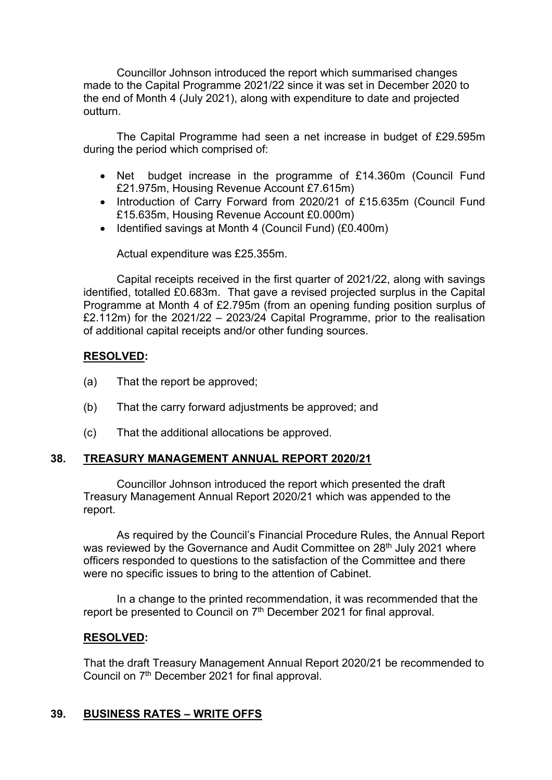Councillor Johnson introduced the report which summarised changes made to the Capital Programme 2021/22 since it was set in December 2020 to the end of Month 4 (July 2021), along with expenditure to date and projected outturn.

The Capital Programme had seen a net increase in budget of £29.595m during the period which comprised of:

- Net budget increase in the programme of £14.360m (Council Fund £21.975m, Housing Revenue Account £7.615m)
- Introduction of Carry Forward from 2020/21 of £15.635m (Council Fund £15.635m, Housing Revenue Account £0.000m)
- Identified savings at Month 4 (Council Fund) (£0.400m)

Actual expenditure was £25.355m.

Capital receipts received in the first quarter of 2021/22, along with savings identified, totalled £0.683m. That gave a revised projected surplus in the Capital Programme at Month 4 of £2.795m (from an opening funding position surplus of £2.112m) for the 2021/22 – 2023/24 Capital Programme, prior to the realisation of additional capital receipts and/or other funding sources.

## **RESOLVED:**

- (a) That the report be approved;
- (b) That the carry forward adjustments be approved; and
- (c) That the additional allocations be approved.

# **38. TREASURY MANAGEMENT ANNUAL REPORT 2020/21**

Councillor Johnson introduced the report which presented the draft Treasury Management Annual Report 2020/21 which was appended to the report.

As required by the Council's Financial Procedure Rules, the Annual Report was reviewed by the Governance and Audit Committee on 28<sup>th</sup> July 2021 where officers responded to questions to the satisfaction of the Committee and there were no specific issues to bring to the attention of Cabinet.

In a change to the printed recommendation, it was recommended that the report be presented to Council on  $7<sup>th</sup>$  December 2021 for final approval.

## **RESOLVED:**

That the draft Treasury Management Annual Report 2020/21 be recommended to Council on 7<sup>th</sup> December 2021 for final approval.

## **39. BUSINESS RATES – WRITE OFFS**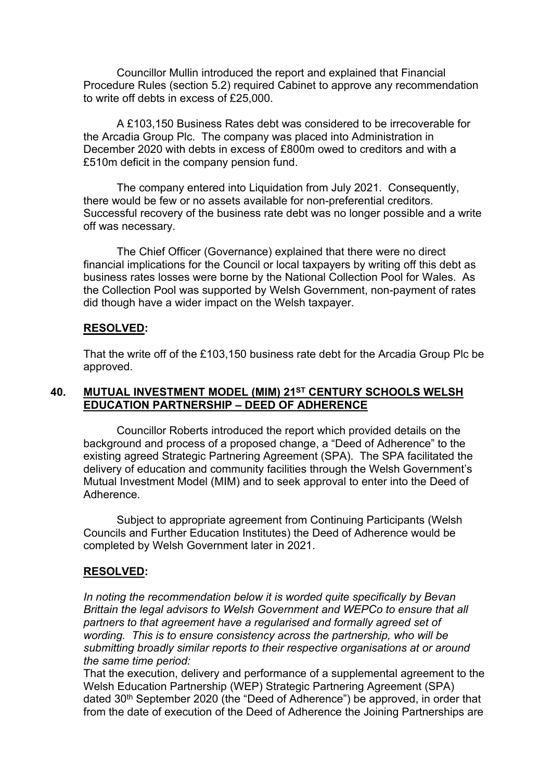Councillor Mullin introduced the report and explained that Financial Procedure Rules (section 5.2) required Cabinet to approve any recommendation to write off debts in excess of £25,000.

A £103,150 Business Rates debt was considered to be irrecoverable for the Arcadia Group Plc. The company was placed into Administration in December 2020 with debts in excess of £800m owed to creditors and with a £510m deficit in the company pension fund.

The company entered into Liquidation from July 2021. Consequently, there would be few or no assets available for non-preferential creditors. Successful recovery of the business rate debt was no longer possible and a write off was necessary.

The Chief Officer (Governance) explained that there were no direct financial implications for the Council or local taxpayers by writing off this debt as business rates losses were borne by the National Collection Pool for Wales. As the Collection Pool was supported by Welsh Government, non-payment of rates did though have a wider impact on the Welsh taxpayer.

## **RESOLVED:**

That the write off of the £103,150 business rate debt for the Arcadia Group Plc be approved.

## **40. MUTUAL INVESTMENT MODEL (MIM) 21ST CENTURY SCHOOLS WELSH EDUCATION PARTNERSHIP – DEED OF ADHERENCE**

Councillor Roberts introduced the report which provided details on the background and process of a proposed change, a "Deed of Adherence" to the existing agreed Strategic Partnering Agreement (SPA). The SPA facilitated the delivery of education and community facilities through the Welsh Government's Mutual Investment Model (MIM) and to seek approval to enter into the Deed of Adherence.

Subject to appropriate agreement from Continuing Participants (Welsh Councils and Further Education Institutes) the Deed of Adherence would be completed by Welsh Government later in 2021.

## **RESOLVED:**

*In noting the recommendation below it is worded quite specifically by Bevan Brittain the legal advisors to Welsh Government and WEPCo to ensure that all partners to that agreement have a regularised and formally agreed set of wording. This is to ensure consistency across the partnership, who will be submitting broadly similar reports to their respective organisations at or around the same time period:*

That the execution, delivery and performance of a supplemental agreement to the Welsh Education Partnership (WEP) Strategic Partnering Agreement (SPA) dated 30th September 2020 (the "Deed of Adherence") be approved, in order that from the date of execution of the Deed of Adherence the Joining Partnerships are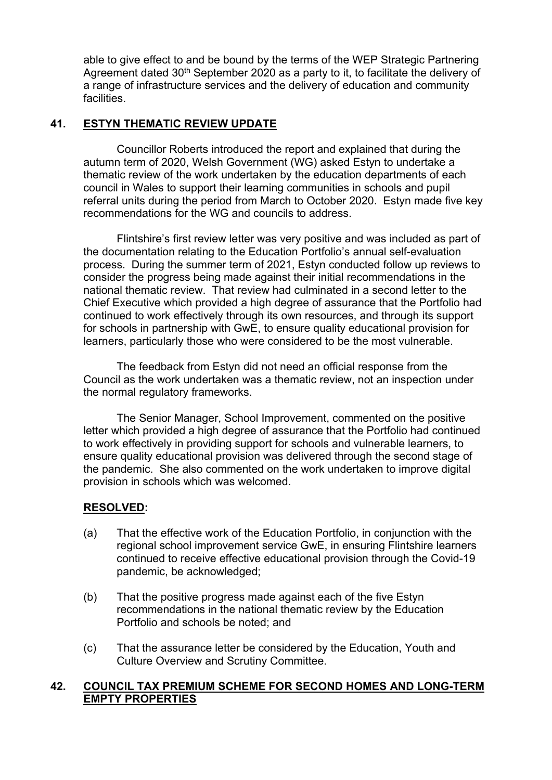able to give effect to and be bound by the terms of the WEP Strategic Partnering Agreement dated 30<sup>th</sup> September 2020 as a party to it, to facilitate the delivery of a range of infrastructure services and the delivery of education and community **facilities** 

## **41. ESTYN THEMATIC REVIEW UPDATE**

Councillor Roberts introduced the report and explained that during the autumn term of 2020, Welsh Government (WG) asked Estyn to undertake a thematic review of the work undertaken by the education departments of each council in Wales to support their learning communities in schools and pupil referral units during the period from March to October 2020. Estyn made five key recommendations for the WG and councils to address.

Flintshire's first review letter was very positive and was included as part of the documentation relating to the Education Portfolio's annual self-evaluation process. During the summer term of 2021, Estyn conducted follow up reviews to consider the progress being made against their initial recommendations in the national thematic review. That review had culminated in a second letter to the Chief Executive which provided a high degree of assurance that the Portfolio had continued to work effectively through its own resources, and through its support for schools in partnership with GwE, to ensure quality educational provision for learners, particularly those who were considered to be the most vulnerable.

The feedback from Estyn did not need an official response from the Council as the work undertaken was a thematic review, not an inspection under the normal regulatory frameworks.

The Senior Manager, School Improvement, commented on the positive letter which provided a high degree of assurance that the Portfolio had continued to work effectively in providing support for schools and vulnerable learners, to ensure quality educational provision was delivered through the second stage of the pandemic. She also commented on the work undertaken to improve digital provision in schools which was welcomed.

## **RESOLVED:**

- (a) That the effective work of the Education Portfolio, in conjunction with the regional school improvement service GwE, in ensuring Flintshire learners continued to receive effective educational provision through the Covid-19 pandemic, be acknowledged;
- (b) That the positive progress made against each of the five Estyn recommendations in the national thematic review by the Education Portfolio and schools be noted; and
- (c) That the assurance letter be considered by the Education, Youth and Culture Overview and Scrutiny Committee.

## **42. COUNCIL TAX PREMIUM SCHEME FOR SECOND HOMES AND LONG-TERM EMPTY PROPERTIES**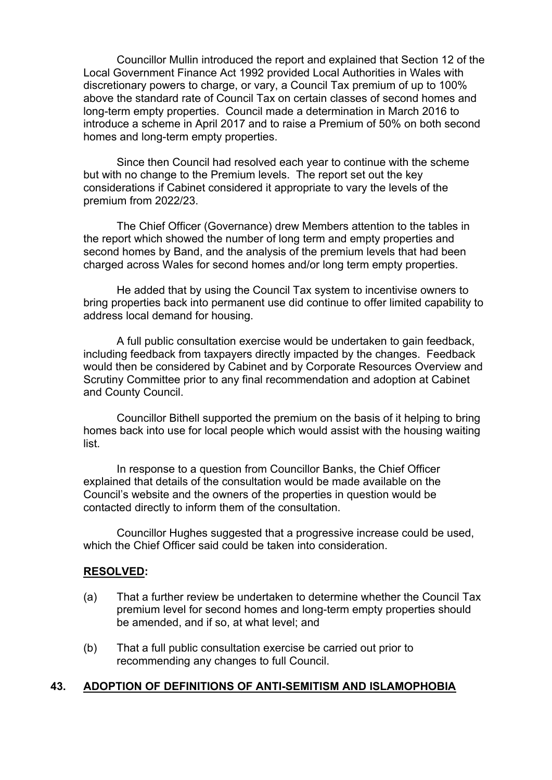Councillor Mullin introduced the report and explained that Section 12 of the Local Government Finance Act 1992 provided Local Authorities in Wales with discretionary powers to charge, or vary, a Council Tax premium of up to 100% above the standard rate of Council Tax on certain classes of second homes and long-term empty properties. Council made a determination in March 2016 to introduce a scheme in April 2017 and to raise a Premium of 50% on both second homes and long-term empty properties.

Since then Council had resolved each year to continue with the scheme but with no change to the Premium levels. The report set out the key considerations if Cabinet considered it appropriate to vary the levels of the premium from 2022/23.

The Chief Officer (Governance) drew Members attention to the tables in the report which showed the number of long term and empty properties and second homes by Band, and the analysis of the premium levels that had been charged across Wales for second homes and/or long term empty properties.

He added that by using the Council Tax system to incentivise owners to bring properties back into permanent use did continue to offer limited capability to address local demand for housing.

A full public consultation exercise would be undertaken to gain feedback, including feedback from taxpayers directly impacted by the changes. Feedback would then be considered by Cabinet and by Corporate Resources Overview and Scrutiny Committee prior to any final recommendation and adoption at Cabinet and County Council.

Councillor Bithell supported the premium on the basis of it helping to bring homes back into use for local people which would assist with the housing waiting list.

In response to a question from Councillor Banks, the Chief Officer explained that details of the consultation would be made available on the Council's website and the owners of the properties in question would be contacted directly to inform them of the consultation.

Councillor Hughes suggested that a progressive increase could be used, which the Chief Officer said could be taken into consideration.

#### **RESOLVED:**

- (a) That a further review be undertaken to determine whether the Council Tax premium level for second homes and long-term empty properties should be amended, and if so, at what level; and
- (b) That a full public consultation exercise be carried out prior to recommending any changes to full Council.

## **43. ADOPTION OF DEFINITIONS OF ANTI-SEMITISM AND ISLAMOPHOBIA**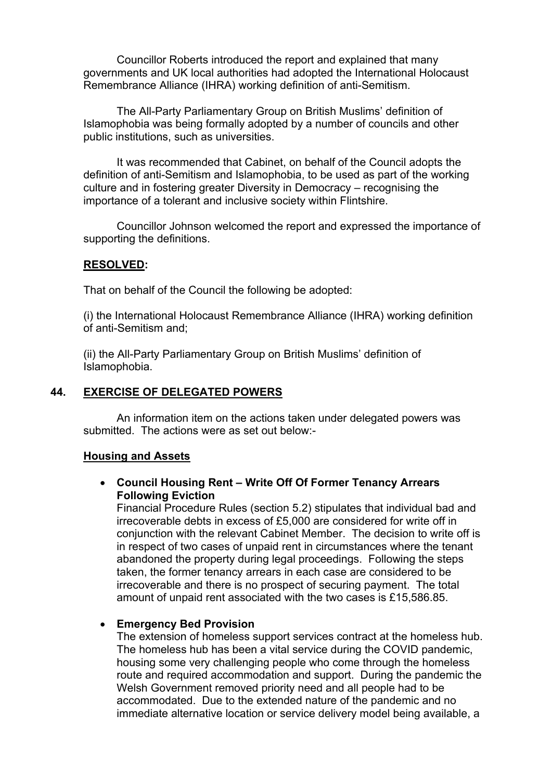Councillor Roberts introduced the report and explained that many governments and UK local authorities had adopted the International Holocaust Remembrance Alliance (IHRA) working definition of anti-Semitism.

The All-Party Parliamentary Group on British Muslims' definition of Islamophobia was being formally adopted by a number of councils and other public institutions, such as universities.

It was recommended that Cabinet, on behalf of the Council adopts the definition of anti-Semitism and Islamophobia, to be used as part of the working culture and in fostering greater Diversity in Democracy – recognising the importance of a tolerant and inclusive society within Flintshire.

Councillor Johnson welcomed the report and expressed the importance of supporting the definitions.

#### **RESOLVED:**

That on behalf of the Council the following be adopted:

(i) the International Holocaust Remembrance Alliance (IHRA) working definition of anti-Semitism and;

(ii) the All-Party Parliamentary Group on British Muslims' definition of Islamophobia.

## **44. EXERCISE OF DELEGATED POWERS**

An information item on the actions taken under delegated powers was submitted. The actions were as set out below:-

### **Housing and Assets**

 **Council Housing Rent – Write Off Of Former Tenancy Arrears Following Eviction**

Financial Procedure Rules (section 5.2) stipulates that individual bad and irrecoverable debts in excess of £5,000 are considered for write off in conjunction with the relevant Cabinet Member. The decision to write off is in respect of two cases of unpaid rent in circumstances where the tenant abandoned the property during legal proceedings. Following the steps taken, the former tenancy arrears in each case are considered to be irrecoverable and there is no prospect of securing payment. The total amount of unpaid rent associated with the two cases is £15,586.85.

#### **Emergency Bed Provision**

The extension of homeless support services contract at the homeless hub. The homeless hub has been a vital service during the COVID pandemic, housing some very challenging people who come through the homeless route and required accommodation and support. During the pandemic the Welsh Government removed priority need and all people had to be accommodated. Due to the extended nature of the pandemic and no immediate alternative location or service delivery model being available, a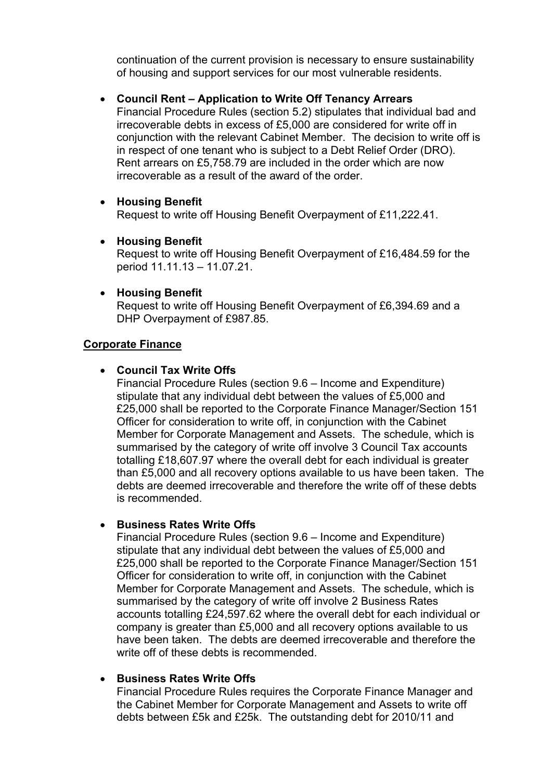continuation of the current provision is necessary to ensure sustainability of housing and support services for our most vulnerable residents.

## **Council Rent – Application to Write Off Tenancy Arrears**

Financial Procedure Rules (section 5.2) stipulates that individual bad and irrecoverable debts in excess of £5,000 are considered for write off in conjunction with the relevant Cabinet Member. The decision to write off is in respect of one tenant who is subject to a Debt Relief Order (DRO). Rent arrears on £5,758.79 are included in the order which are now irrecoverable as a result of the award of the order.

## **Housing Benefit**

Request to write off Housing Benefit Overpayment of £11,222.41.

- **Housing Benefit** Request to write off Housing Benefit Overpayment of £16,484.59 for the period 11.11.13 – 11.07.21.
- **Housing Benefit**

Request to write off Housing Benefit Overpayment of £6,394.69 and a DHP Overpayment of £987.85.

## **Corporate Finance**

## **Council Tax Write Offs**

Financial Procedure Rules (section 9.6 – Income and Expenditure) stipulate that any individual debt between the values of £5,000 and £25,000 shall be reported to the Corporate Finance Manager/Section 151 Officer for consideration to write off, in conjunction with the Cabinet Member for Corporate Management and Assets. The schedule, which is summarised by the category of write off involve 3 Council Tax accounts totalling £18,607.97 where the overall debt for each individual is greater than £5,000 and all recovery options available to us have been taken. The debts are deemed irrecoverable and therefore the write off of these debts is recommended.

## **Business Rates Write Offs**

Financial Procedure Rules (section 9.6 – Income and Expenditure) stipulate that any individual debt between the values of £5,000 and £25,000 shall be reported to the Corporate Finance Manager/Section 151 Officer for consideration to write off, in conjunction with the Cabinet Member for Corporate Management and Assets. The schedule, which is summarised by the category of write off involve 2 Business Rates accounts totalling £24,597.62 where the overall debt for each individual or company is greater than £5,000 and all recovery options available to us have been taken. The debts are deemed irrecoverable and therefore the write off of these debts is recommended

## **Business Rates Write Offs**

Financial Procedure Rules requires the Corporate Finance Manager and the Cabinet Member for Corporate Management and Assets to write off debts between £5k and £25k. The outstanding debt for 2010/11 and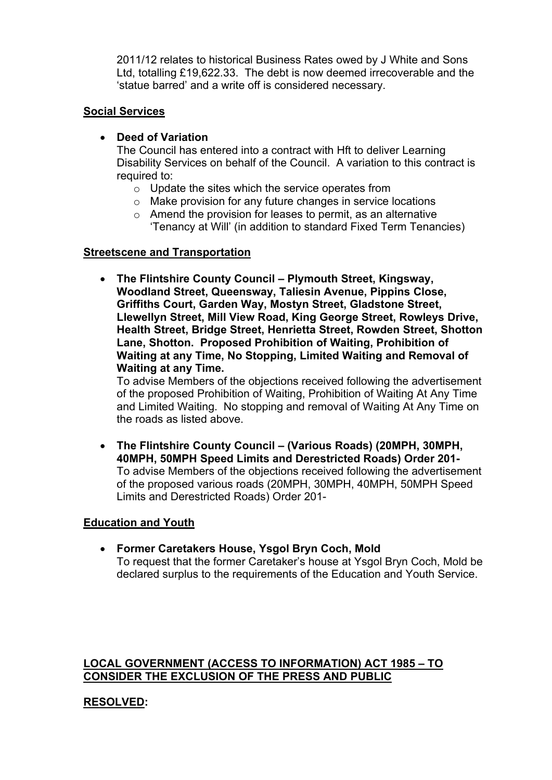2011/12 relates to historical Business Rates owed by J White and Sons Ltd, totalling £19,622.33. The debt is now deemed irrecoverable and the 'statue barred' and a write off is considered necessary.

## **Social Services**

## **Deed of Variation**

The Council has entered into a contract with Hft to deliver Learning Disability Services on behalf of the Council. A variation to this contract is required to:

- o Update the sites which the service operates from
- o Make provision for any future changes in service locations
- o Amend the provision for leases to permit, as an alternative 'Tenancy at Will' (in addition to standard Fixed Term Tenancies)

## **Streetscene and Transportation**

 **The Flintshire County Council – Plymouth Street, Kingsway, Woodland Street, Queensway, Taliesin Avenue, Pippins Close, Griffiths Court, Garden Way, Mostyn Street, Gladstone Street, Llewellyn Street, Mill View Road, King George Street, Rowleys Drive, Health Street, Bridge Street, Henrietta Street, Rowden Street, Shotton Lane, Shotton. Proposed Prohibition of Waiting, Prohibition of Waiting at any Time, No Stopping, Limited Waiting and Removal of Waiting at any Time.**

To advise Members of the objections received following the advertisement of the proposed Prohibition of Waiting, Prohibition of Waiting At Any Time and Limited Waiting. No stopping and removal of Waiting At Any Time on the roads as listed above.

 **The Flintshire County Council – (Various Roads) (20MPH, 30MPH, 40MPH, 50MPH Speed Limits and Derestricted Roads) Order 201-** To advise Members of the objections received following the advertisement of the proposed various roads (20MPH, 30MPH, 40MPH, 50MPH Speed Limits and Derestricted Roads) Order 201-

## **Education and Youth**

 **Former Caretakers House, Ysgol Bryn Coch, Mold** To request that the former Caretaker's house at Ysgol Bryn Coch, Mold be declared surplus to the requirements of the Education and Youth Service.

## **LOCAL GOVERNMENT (ACCESS TO INFORMATION) ACT 1985 – TO CONSIDER THE EXCLUSION OF THE PRESS AND PUBLIC**

# **RESOLVED:**